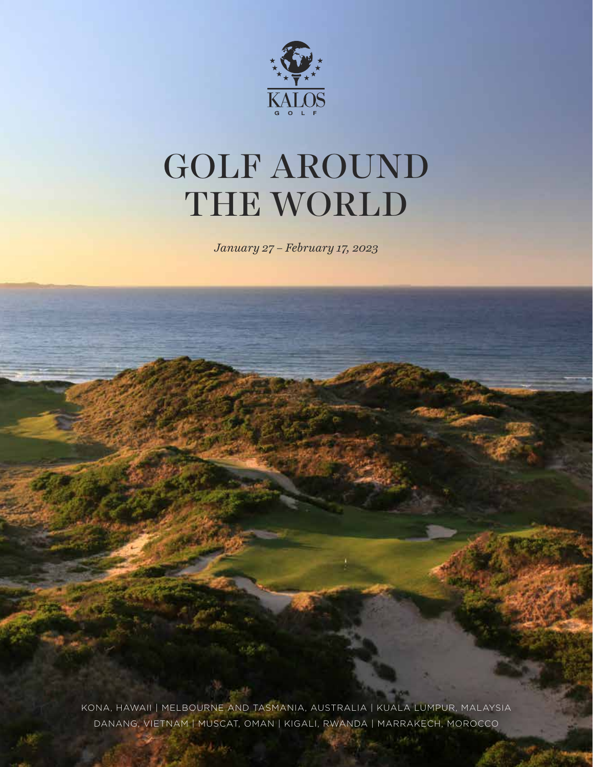

# GOLF AROUND THE WORLD

*January 27 – February 17, 2023*

KONA, HAWAII | MELBOURNE AND TASMANIA, AUSTRALIA | KUALA LUMPUR, MALAYSIA DANANG, VIETNAM | MUSCAT, OMAN | KIGALI, RWANDA | MARRAKECH, MOROCCO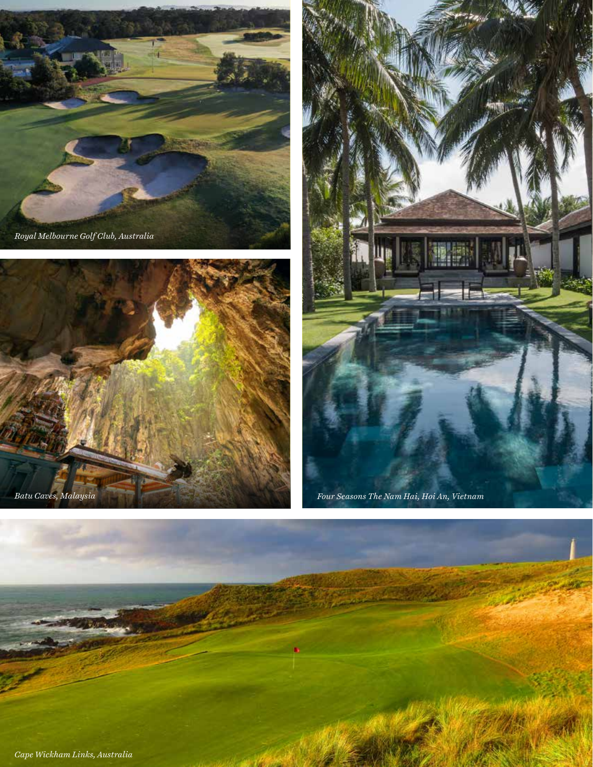





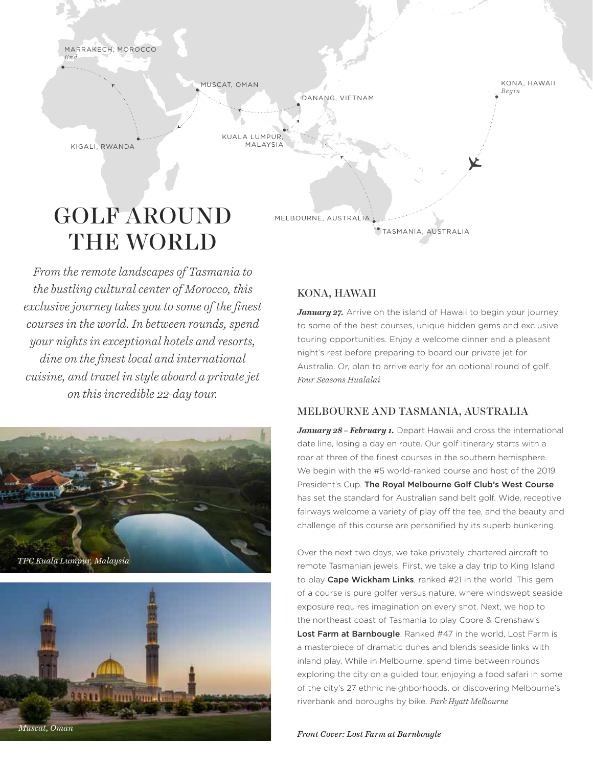



# GOLF AROUND THE WORLD

*From the remote landscapes of Tasmania to the bustling cultural center of Morocco, this exclusive journey takes you to some of the !nest courses in the world. In between rounds, spend your nights in exceptional hotels and resorts, dine on the !nest local and international cuisine, and travel in style aboard a private jet on this incredible 22-day tour.*





## KONA, HAWAII

*January 27.* Arrive on the island of Hawaii to begin your journey to some of the best courses, unique hidden gems and exclusive touring opportunities. Enjoy a welcome dinner and a pleasant night's rest before preparing to board our private jet for Australia. Or, plan to arrive early for an optional round of golf. *Four Seasons Hualalai*

TASMANIA, AUSTRALIA

### MELBOURNE AND TASMANIA, AUSTRALIA

January 28 - February 1. Depart Hawaii and cross the international date line, losing a day en route. Our golf itinerary starts with a roar at three of the finest courses in the southern hemisphere. We begin with the #5 world-ranked course and host of the 2019 President's Cup. The Royal Melbourne Golf Club's West Course has set the standard for Australian sand belt golf. Wide, receptive fairways welcome a variety of play off the tee, and the beauty and challenge of this course are personified by its superb bunkering.

Over the next two days, we take privately chartered aircraft to remote Tasmanian jewels. First, we take a day trip to King Island to play Cape Wickham Links, ranked #21 in the world. This gem of a course is pure golfer versus nature, where windswept seaside exposure requires imagination on every shot. Next, we hop to the northeast coast of Tasmania to play Coore & Crenshaw's Lost Farm at Barnbougle. Ranked #47 in the world, Lost Farm is a masterpiece of dramatic dunes and blends seaside links with inland play. While in Melbourne, spend time between rounds exploring the city on a guided tour, enjoying a food safari in some of the city's 27 ethnic neighborhoods, or discovering Melbourne's riverbank and boroughs by bike. *Park Hyatt Melbourne*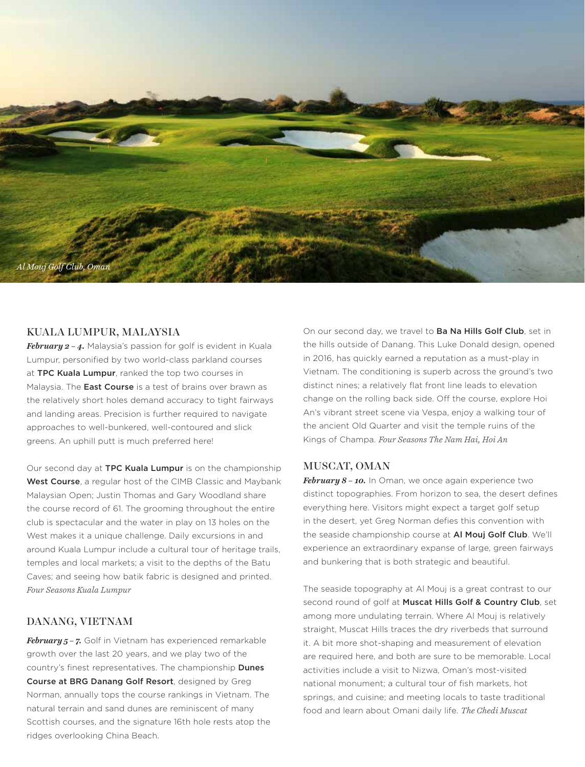

#### KUALA LUMPUR, MALAYSIA

*February 2 – 4.* Malaysia's passion for golf is evident in Kuala Lumpur, personified by two world-class parkland courses at TPC Kuala Lumpur, ranked the top two courses in Malaysia. The **East Course** is a test of brains over brawn as the relatively short holes demand accuracy to tight fairways and landing areas. Precision is further required to navigate approaches to well-bunkered, well-contoured and slick greens. An uphill putt is much preferred here!

Our second day at TPC Kuala Lumpur is on the championship West Course, a regular host of the CIMB Classic and Maybank Malaysian Open; Justin Thomas and Gary Woodland share the course record of 61. The grooming throughout the entire club is spectacular and the water in play on 13 holes on the West makes it a unique challenge. Daily excursions in and around Kuala Lumpur include a cultural tour of heritage trails, temples and local markets; a visit to the depths of the Batu Caves; and seeing how batik fabric is designed and printed. *Four Seasons Kuala Lumpur*

#### DANANG, VIETNAM

*February 5 – 7.* Golf in Vietnam has experienced remarkable growth over the last 20 years, and we play two of the country's finest representatives. The championship Dunes Course at BRG Danang Golf Resort, designed by Greg Norman, annually tops the course rankings in Vietnam. The natural terrain and sand dunes are reminiscent of many Scottish courses, and the signature 16th hole rests atop the ridges overlooking China Beach.

On our second day, we travel to Ba Na Hills Golf Club, set in the hills outside of Danang. This Luke Donald design, opened in 2016, has quickly earned a reputation as a must-play in Vietnam. The conditioning is superb across the ground's two distinct nines; a relatively flat front line leads to elevation change on the rolling back side. Off the course, explore Hoi An's vibrant street scene via Vespa, enjoy a walking tour of the ancient Old Quarter and visit the temple ruins of the Kings of Champa. *Four Seasons The Nam Hai, Hoi An*

#### MUSCAT, OMAN

*February 8 – 10.* In Oman, we once again experience two distinct topographies. From horizon to sea, the desert defines everything here. Visitors might expect a target golf setup in the desert, yet Greg Norman defies this convention with the seaside championship course at Al Moui Golf Club. We'll experience an extraordinary expanse of large, green fairways and bunkering that is both strategic and beautiful.

The seaside topography at Al Mouj is a great contrast to our second round of golf at Muscat Hills Golf & Country Club, set among more undulating terrain. Where Al Mouj is relatively straight, Muscat Hills traces the dry riverbeds that surround it. A bit more shot-shaping and measurement of elevation are required here, and both are sure to be memorable. Local activities include a visit to Nizwa, Oman's most-visited national monument; a cultural tour of fish markets, hot springs, and cuisine; and meeting locals to taste traditional food and learn about Omani daily life. *The Chedi Muscat*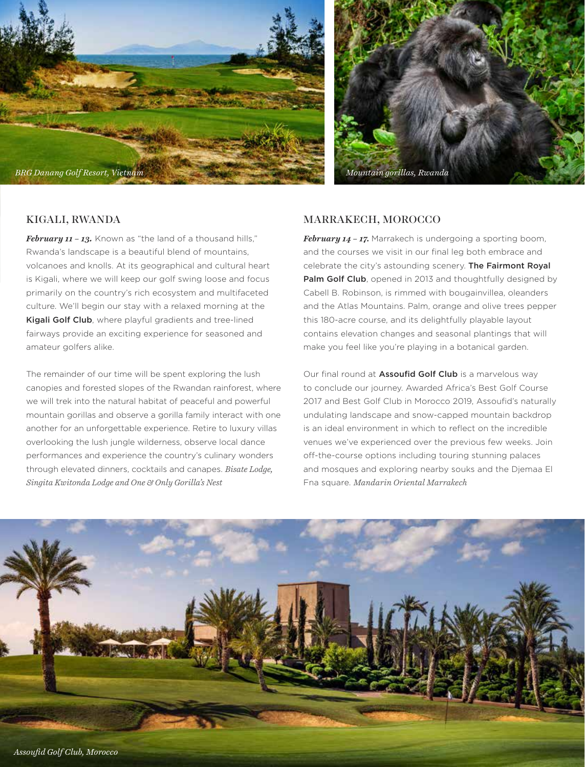



### KIGALI, RWANDA

*February 11 – 13.* Known as "the land of a thousand hills," Rwanda's landscape is a beautiful blend of mountains, volcanoes and knolls. At its geographical and cultural heart is Kigali, where we will keep our golf swing loose and focus primarily on the country's rich ecosystem and multifaceted culture. We'll begin our stay with a relaxed morning at the Kigali Golf Club, where playful gradients and tree-lined fairways provide an exciting experience for seasoned and amateur golfers alike.

The remainder of our time will be spent exploring the lush canopies and forested slopes of the Rwandan rainforest, where we will trek into the natural habitat of peaceful and powerful mountain gorillas and observe a gorilla family interact with one another for an unforgettable experience. Retire to luxury villas overlooking the lush jungle wilderness, observe local dance performances and experience the country's culinary wonders through elevated dinners, cocktails and canapes. *Bisate Lodge, Singita Kwitonda Lodge and One & Only Gorilla's Nest*

#### MARRAKECH, MOROCCO

*February 14 – 17.* Marrakech is undergoing a sporting boom, and the courses we visit in our final leg both embrace and celebrate the city's astounding scenery. The Fairmont Royal Palm Golf Club, opened in 2013 and thoughtfully designed by Cabell B. Robinson, is rimmed with bougainvillea, oleanders and the Atlas Mountains. Palm, orange and olive trees pepper this 180-acre course, and its delightfully playable layout contains elevation changes and seasonal plantings that will make you feel like you're playing in a botanical garden.

Our final round at **Assoufid Golf Club** is a marvelous way to conclude our journey. Awarded Africa's Best Golf Course 2017 and Best Golf Club in Morocco 2019, Assoufid's naturally undulating landscape and snow-capped mountain backdrop is an ideal environment in which to reflect on the incredible venues we've experienced over the previous few weeks. Join off-the-course options including touring stunning palaces and mosques and exploring nearby souks and the Djemaa El Fna square. *Mandarin Oriental Marrakech*